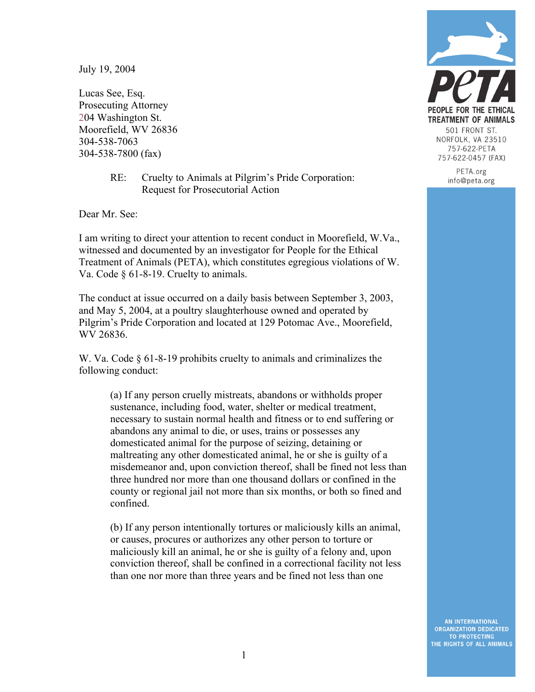July 19, 2004

Lucas See, Esq. Prosecuting Attorney 204 Washington St. Moorefield, WV 26836 304-538-7063 304-538-7800 (fax)

> RE: Cruelty to Animals at Pilgrim's Pride Corporation: Request for Prosecutorial Action

Dear Mr. See:

I am writing to direct your attention to recent conduct in Moorefield, W.Va., witnessed and documented by an investigator for People for the Ethical Treatment of Animals (PETA), which constitutes egregious violations of W. Va. Code § 61-8-19. Cruelty to animals.

The conduct at issue occurred on a daily basis between September 3, 2003, and May 5, 2004, at a poultry slaughterhouse owned and operated by Pilgrim's Pride Corporation and located at 129 Potomac Ave., Moorefield, WV 26836.

W. Va. Code § 61-8-19 prohibits cruelty to animals and criminalizes the following conduct:

> (a) If any person cruelly mistreats, abandons or withholds proper sustenance, including food, water, shelter or medical treatment, necessary to sustain normal health and fitness or to end suffering or abandons any animal to die, or uses, trains or possesses any domesticated animal for the purpose of seizing, detaining or maltreating any other domesticated animal, he or she is guilty of a misdemeanor and, upon conviction thereof, shall be fined not less than three hundred nor more than one thousand dollars or confined in the county or regional jail not more than six months, or both so fined and confined.

(b) If any person intentionally tortures or maliciously kills an animal, or causes, procures or authorizes any other person to torture or maliciously kill an animal, he or she is guilty of a felony and, upon conviction thereof, shall be confined in a correctional facility not less than one nor more than three years and be fined not less than one



PETA.org info@peta.org

**AN INTERNATIONAL ORGANIZATION DEDICATED TO PROTECTING** THE RIGHTS OF ALL ANIMALS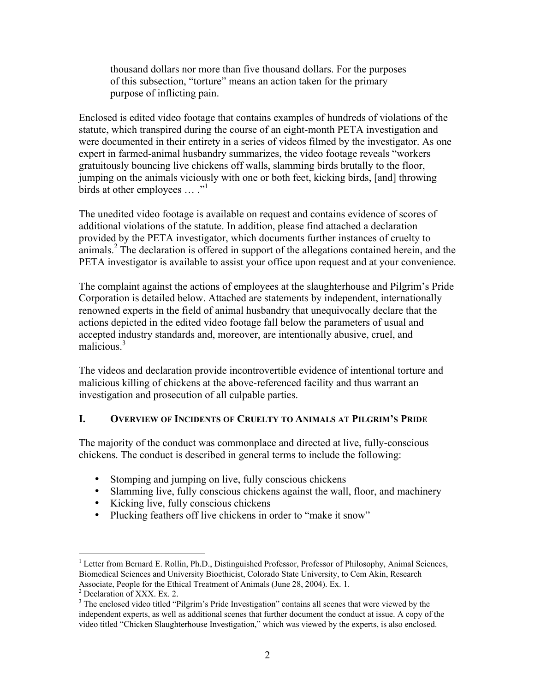thousand dollars nor more than five thousand dollars. For the purposes of this subsection, "torture" means an action taken for the primary purpose of inflicting pain.

Enclosed is edited video footage that contains examples of hundreds of violations of the statute, which transpired during the course of an eight-month PETA investigation and were documented in their entirety in a series of videos filmed by the investigator. As one expert in farmed-animal husbandry summarizes, the video footage reveals "workers gratuitously bouncing live chickens off walls, slamming birds brutally to the floor, jumping on the animals viciously with one or both feet, kicking birds, [and] throwing birds at other employees  $\ldots$ ."

The unedited video footage is available on request and contains evidence of scores of additional violations of the statute. In addition, please find attached a declaration provided by the PETA investigator, which documents further instances of cruelty to  $\frac{1}{2}$  animals.<sup>2</sup> The declaration is offered in support of the allegations contained herein, and the PETA investigator is available to assist your office upon request and at your convenience.

The complaint against the actions of employees at the slaughterhouse and Pilgrim's Pride Corporation is detailed below. Attached are statements by independent, internationally renowned experts in the field of animal husbandry that unequivocally declare that the actions depicted in the edited video footage fall below the parameters of usual and accepted industry standards and, moreover, are intentionally abusive, cruel, and malicious $<sup>3</sup>$ </sup>

The videos and declaration provide incontrovertible evidence of intentional torture and malicious killing of chickens at the above-referenced facility and thus warrant an investigation and prosecution of all culpable parties.

# **I. OVERVIEW OF INCIDENTS OF CRUELTY TO ANIMALS AT PILGRIM'S PRIDE**

The majority of the conduct was commonplace and directed at live, fully-conscious chickens. The conduct is described in general terms to include the following:

- Stomping and jumping on live, fully conscious chickens
- Slamming live, fully conscious chickens against the wall, floor, and machinery
- Kicking live, fully conscious chickens
- Plucking feathers off live chickens in order to "make it snow"

 $\frac{1}{1}$ <sup>1</sup> Letter from Bernard E. Rollin, Ph.D., Distinguished Professor, Professor of Philosophy, Animal Sciences, Biomedical Sciences and University Bioethicist, Colorado State University, to Cem Akin, Research Associate, People for the Ethical Treatment of Animals (June 28, 2004). Ex. 1.<br><sup>2</sup> Declaration of XXX. Ex. 2.

 $3$  The enclosed video titled "Pilgrim's Pride Investigation" contains all scenes that were viewed by the independent experts, as well as additional scenes that further document the conduct at issue. A copy of the video titled "Chicken Slaughterhouse Investigation," which was viewed by the experts, is also enclosed.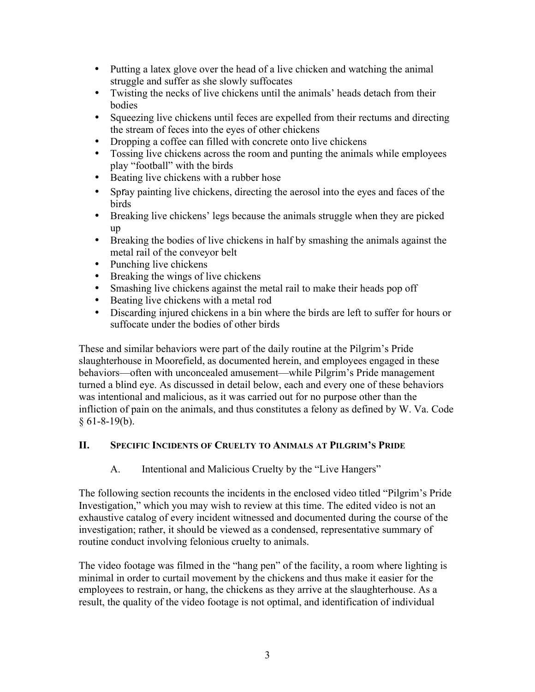- Putting a latex glove over the head of a live chicken and watching the animal struggle and suffer as she slowly suffocates
- Twisting the necks of live chickens until the animals' heads detach from their bodies
- Squeezing live chickens until feces are expelled from their rectums and directing the stream of feces into the eyes of other chickens
- Dropping a coffee can filled with concrete onto live chickens
- Tossing live chickens across the room and punting the animals while employees play "football" with the birds
- Beating live chickens with a rubber hose
- Spray painting live chickens, directing the aerosol into the eyes and faces of the birds
- Breaking live chickens' legs because the animals struggle when they are picked up
- Breaking the bodies of live chickens in half by smashing the animals against the metal rail of the conveyor belt
- Punching live chickens
- Breaking the wings of live chickens
- Smashing live chickens against the metal rail to make their heads pop off
- Beating live chickens with a metal rod
- Discarding injured chickens in a bin where the birds are left to suffer for hours or suffocate under the bodies of other birds

These and similar behaviors were part of the daily routine at the Pilgrim's Pride slaughterhouse in Moorefield, as documented herein, and employees engaged in these behaviors—often with unconcealed amusement—while Pilgrim's Pride management turned a blind eye. As discussed in detail below, each and every one of these behaviors was intentional and malicious, as it was carried out for no purpose other than the infliction of pain on the animals, and thus constitutes a felony as defined by W. Va. Code  $§ 61-8-19(b).$ 

# **II. SPECIFIC INCIDENTS OF CRUELTY TO ANIMALS AT PILGRIM'S PRIDE**

A. Intentional and Malicious Cruelty by the "Live Hangers"

The following section recounts the incidents in the enclosed video titled "Pilgrim's Pride Investigation," which you may wish to review at this time. The edited video is not an exhaustive catalog of every incident witnessed and documented during the course of the investigation; rather, it should be viewed as a condensed, representative summary of routine conduct involving felonious cruelty to animals.

The video footage was filmed in the "hang pen" of the facility, a room where lighting is minimal in order to curtail movement by the chickens and thus make it easier for the employees to restrain, or hang, the chickens as they arrive at the slaughterhouse. As a result, the quality of the video footage is not optimal, and identification of individual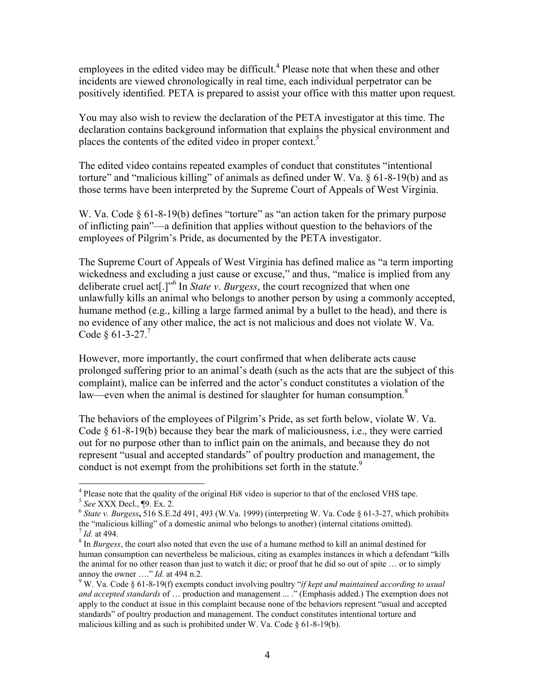employees in the edited video may be difficult.<sup>4</sup> Please note that when these and other incidents are viewed chronologically in real time, each individual perpetrator can be positively identified. PETA is prepared to assist your office with this matter upon request.

You may also wish to review the declaration of the PETA investigator at this time. The declaration contains background information that explains the physical environment and places the contents of the edited video in proper context.<sup>5</sup>

The edited video contains repeated examples of conduct that constitutes "intentional torture" and "malicious killing" of animals as defined under W. Va. § 61-8-19(b) and as those terms have been interpreted by the Supreme Court of Appeals of West Virginia.

W. Va. Code  $\S 61-8-19(b)$  defines "torture" as "an action taken for the primary purpose of inflicting pain"—a definition that applies without question to the behaviors of the employees of Pilgrim's Pride, as documented by the PETA investigator.

The Supreme Court of Appeals of West Virginia has defined malice as "a term importing wickedness and excluding a just cause or excuse," and thus, "malice is implied from any deliberate cruel act[.]"6 In *State v*. *Burgess*, the court recognized that when one unlawfully kills an animal who belongs to another person by using a commonly accepted, humane method (e.g., killing a large farmed animal by a bullet to the head), and there is no evidence of any other malice, the act is not malicious and does not violate W. Va. Code  $\&$  61-3-27.<sup>7</sup>

However, more importantly, the court confirmed that when deliberate acts cause prolonged suffering prior to an animal's death (such as the acts that are the subject of this complaint), malice can be inferred and the actor's conduct constitutes a violation of the law—even when the animal is destined for slaughter for human consumption. $8$ 

The behaviors of the employees of Pilgrim's Pride, as set forth below, violate W. Va. Code § 61-8-19(b) because they bear the mark of maliciousness, i.e., they were carried out for no purpose other than to inflict pain on the animals, and because they do not represent "usual and accepted standards" of poultry production and management, the conduct is not exempt from the prohibitions set forth in the statute.<sup>9</sup>

<sup>-&</sup>lt;br>4 <sup>4</sup> Please note that the quality of the original Hi8 video is superior to that of the enclosed VHS tape.  $5$  See XXX Decl.,  $\lbrack 9$ . Ex. 2.

 $6$  *State v. Burgess*, 516 S.E.2d 491, 493 (W.Va. 1999) (interpreting W. Va. Code  $6$  61-3-27, which prohibits the "malicious killing" of a domestic animal who belongs to another) (internal citations omitted).

 $\frac{1}{8}$  *Id.* at 494. Summane in also noted that even the use of a humane method to kill an animal destined for  $\frac{1}{8}$  In *Burgess*, the court also noted that even the use of a humane method to kill an animal destine human consumption can nevertheless be malicious, citing as examples instances in which a defendant "kills the animal for no other reason than just to watch it die; or proof that he did so out of spite … or to simply annoy the owner  $\ldots$ " *Id.* at 494 n.2.

W. Va. Code § 61-8-19(f) exempts conduct involving poultry "*if kept and maintained according to usual and accepted standards* of … production and management ... ." (Emphasis added.) The exemption does not apply to the conduct at issue in this complaint because none of the behaviors represent "usual and accepted standards" of poultry production and management. The conduct constitutes intentional torture and malicious killing and as such is prohibited under W. Va. Code  $\S$  61-8-19(b).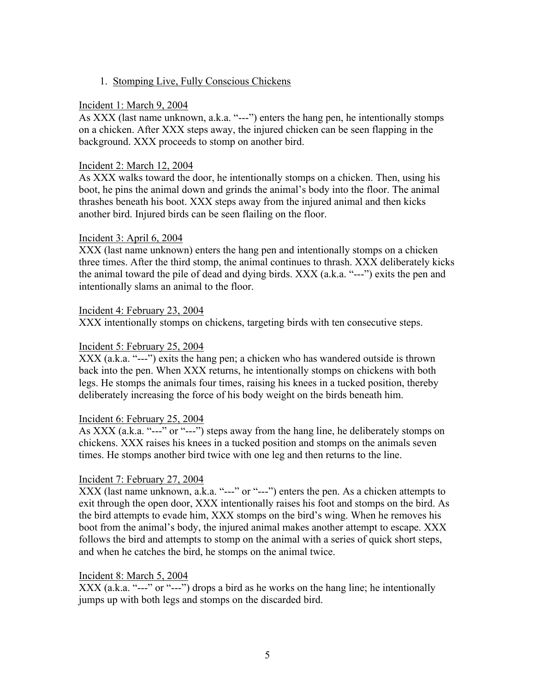## 1.Stomping Live, Fully Conscious Chickens

### Incident 1: March 9, 2004

As XXX (last name unknown, a.k.a. "---") enters the hang pen, he intentionally stomps on a chicken. After XXX steps away, the injured chicken can be seen flapping in the background. XXX proceeds to stomp on another bird.

### Incident 2: March 12, 2004

As XXX walks toward the door, he intentionally stomps on a chicken. Then, using his boot, he pins the animal down and grinds the animal's body into the floor. The animal thrashes beneath his boot. XXX steps away from the injured animal and then kicks another bird. Injured birds can be seen flailing on the floor.

#### Incident 3: April 6, 2004

XXX (last name unknown) enters the hang pen and intentionally stomps on a chicken three times. After the third stomp, the animal continues to thrash. XXX deliberately kicks the animal toward the pile of dead and dying birds. XXX (a.k.a. "---") exits the pen and intentionally slams an animal to the floor.

#### Incident 4: February 23, 2004

XXX intentionally stomps on chickens, targeting birds with ten consecutive steps.

### Incident 5: February 25, 2004

XXX (a.k.a. "---") exits the hang pen; a chicken who has wandered outside is thrown back into the pen. When XXX returns, he intentionally stomps on chickens with both legs. He stomps the animals four times, raising his knees in a tucked position, thereby deliberately increasing the force of his body weight on the birds beneath him.

### Incident 6: February 25, 2004

As XXX (a.k.a. "---" or "---") steps away from the hang line, he deliberately stomps on chickens. XXX raises his knees in a tucked position and stomps on the animals seven times. He stomps another bird twice with one leg and then returns to the line.

#### Incident 7: February 27, 2004

XXX (last name unknown, a.k.a. "---" or "---") enters the pen. As a chicken attempts to exit through the open door, XXX intentionally raises his foot and stomps on the bird. As the bird attempts to evade him, XXX stomps on the bird's wing. When he removes his boot from the animal's body, the injured animal makes another attempt to escape. XXX follows the bird and attempts to stomp on the animal with a series of quick short steps, and when he catches the bird, he stomps on the animal twice.

### Incident 8: March 5, 2004

XXX (a.k.a. "---" or "---") drops a bird as he works on the hang line; he intentionally jumps up with both legs and stomps on the discarded bird.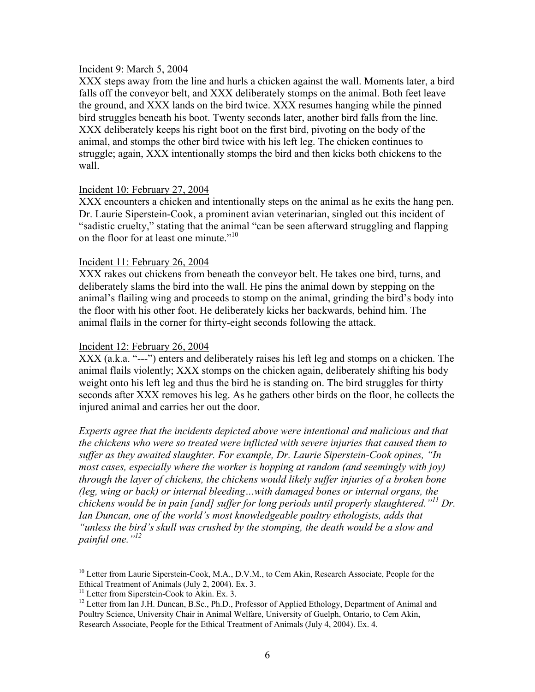#### Incident 9: March 5, 2004

XXX steps away from the line and hurls a chicken against the wall. Moments later, a bird falls off the conveyor belt, and XXX deliberately stomps on the animal. Both feet leave the ground, and XXX lands on the bird twice. XXX resumes hanging while the pinned bird struggles beneath his boot. Twenty seconds later, another bird falls from the line. XXX deliberately keeps his right boot on the first bird, pivoting on the body of the animal, and stomps the other bird twice with his left leg. The chicken continues to struggle; again, XXX intentionally stomps the bird and then kicks both chickens to the wall.

### Incident 10: February 27, 2004

XXX encounters a chicken and intentionally steps on the animal as he exits the hang pen. Dr. Laurie Siperstein-Cook, a prominent avian veterinarian, singled out this incident of "sadistic cruelty," stating that the animal "can be seen afterward struggling and flapping on the floor for at least one minute."<sup>10</sup>

### Incident 11: February 26, 2004

XXX rakes out chickens from beneath the conveyor belt. He takes one bird, turns, and deliberately slams the bird into the wall. He pins the animal down by stepping on the animal's flailing wing and proceeds to stomp on the animal, grinding the bird's body into the floor with his other foot. He deliberately kicks her backwards, behind him. The animal flails in the corner for thirty-eight seconds following the attack.

### Incident 12: February 26, 2004

XXX (a.k.a. "---") enters and deliberately raises his left leg and stomps on a chicken. The animal flails violently; XXX stomps on the chicken again, deliberately shifting his body weight onto his left leg and thus the bird he is standing on. The bird struggles for thirty seconds after XXX removes his leg. As he gathers other birds on the floor, he collects the injured animal and carries her out the door.

*Experts agree that the incidents depicted above were intentional and malicious and that the chickens who were so treated were inflicted with severe injuries that caused them to suffer as they awaited slaughter. For example, Dr. Laurie Siperstein-Cook opines, "In most cases, especially where the worker is hopping at random (and seemingly with joy) through the layer of chickens, the chickens would likely suffer injuries of a broken bone (leg, wing or back) or internal bleeding…with damaged bones or internal organs, the chickens would be in pain [and] suffer for long periods until properly slaughtered."11 Dr. Ian Duncan, one of the world's most knowledgeable poultry ethologists, adds that "unless the bird's skull was crushed by the stomping, the death would be a slow and painful one."<sup>12</sup>*

<sup>&</sup>lt;sup>10</sup> Letter from Laurie Siperstein-Cook, M.A., D.V.M., to Cem Akin, Research Associate, People for the Ethical Treatment of Animals (July 2, 2004). Ex. 3.

 $11$  Letter from Siperstein-Cook to Akin. Ex. 3.

<sup>&</sup>lt;sup>12</sup> Letter from Ian J.H. Duncan, B.Sc., Ph.D., Professor of Applied Ethology, Department of Animal and Poultry Science, University Chair in Animal Welfare, University of Guelph, Ontario, to Cem Akin, Research Associate, People for the Ethical Treatment of Animals (July 4, 2004). Ex. 4.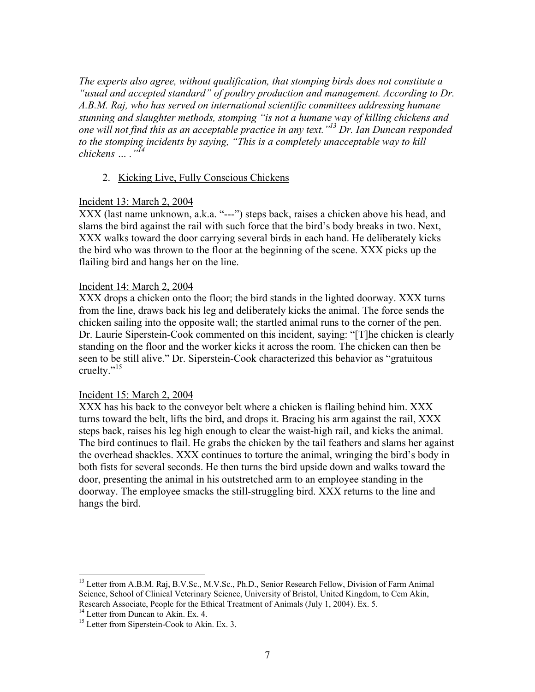*The experts also agree, without qualification, that stomping birds does not constitute a "usual and accepted standard" of poultry production and management. According to Dr. A.B.M. Raj, who has served on international scientific committees addressing humane stunning and slaughter methods, stomping "is not a humane way of killing chickens and one will not find this as an acceptable practice in any text."13 Dr. Ian Duncan responded to the stomping incidents by saying, "This is a completely unacceptable way to kill chickens … ."<sup>14</sup>*

### 2. Kicking Live, Fully Conscious Chickens

#### Incident 13: March 2, 2004

XXX (last name unknown, a.k.a. "---") steps back, raises a chicken above his head, and slams the bird against the rail with such force that the bird's body breaks in two. Next, XXX walks toward the door carrying several birds in each hand. He deliberately kicks the bird who was thrown to the floor at the beginning of the scene. XXX picks up the flailing bird and hangs her on the line.

#### Incident 14: March 2, 2004

XXX drops a chicken onto the floor; the bird stands in the lighted doorway. XXX turns from the line, draws back his leg and deliberately kicks the animal. The force sends the chicken sailing into the opposite wall; the startled animal runs to the corner of the pen. Dr. Laurie Siperstein-Cook commented on this incident, saying: "[T]he chicken is clearly standing on the floor and the worker kicks it across the room. The chicken can then be seen to be still alive." Dr. Siperstein-Cook characterized this behavior as "gratuitous cruelty."<sup>15</sup>

#### Incident 15: March 2, 2004

XXX has his back to the conveyor belt where a chicken is flailing behind him. XXX turns toward the belt, lifts the bird, and drops it. Bracing his arm against the rail, XXX steps back, raises his leg high enough to clear the waist-high rail, and kicks the animal. The bird continues to flail. He grabs the chicken by the tail feathers and slams her against the overhead shackles. XXX continues to torture the animal, wringing the bird's body in both fists for several seconds. He then turns the bird upside down and walks toward the door, presenting the animal in his outstretched arm to an employee standing in the doorway. The employee smacks the still-struggling bird. XXX returns to the line and hangs the bird.

<sup>&</sup>lt;sup>13</sup> Letter from A.B.M. Raj, B.V.Sc., M.V.Sc., Ph.D., Senior Research Fellow, Division of Farm Animal Science, School of Clinical Veterinary Science, University of Bristol, United Kingdom, to Cem Akin, Research Associate, People for the Ethical Treatment of Animals (July 1, 2004). Ex. 5.

<sup>&</sup>lt;sup>14</sup> Letter from Duncan to Akin. Ex. 4. <sup>15</sup> Letter from Siperstein-Cook to Akin. Ex. 3.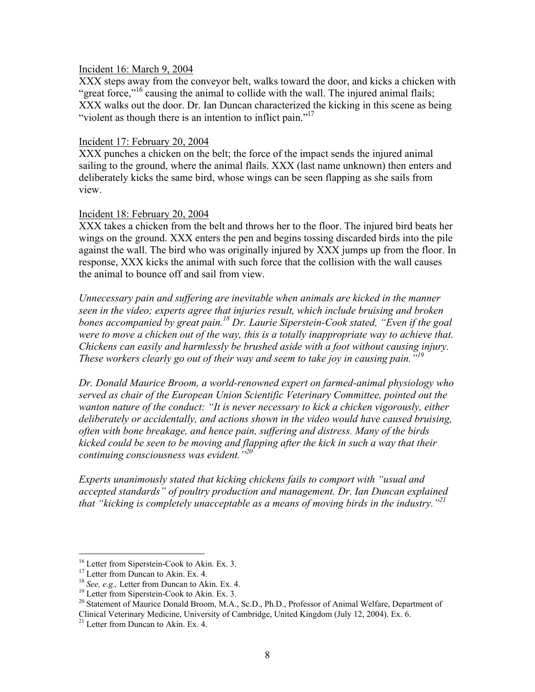#### Incident 16: March 9, 2004

XXX steps away from the conveyor belt, walks toward the door, and kicks a chicken with "great force,"<sup>16</sup> causing the animal to collide with the wall. The injured animal flails; XXX walks out the door. Dr. Ian Duncan characterized the kicking in this scene as being "violent as though there is an intention to inflict pain."<sup>17</sup>

### Incident 17: February 20, 2004

XXX punches a chicken on the belt; the force of the impact sends the injured animal sailing to the ground, where the animal flails. XXX (last name unknown) then enters and deliberately kicks the same bird, whose wings can be seen flapping as she sails from view.

### Incident 18: February 20, 2004

XXX takes a chicken from the belt and throws her to the floor. The injured bird beats her wings on the ground. XXX enters the pen and begins tossing discarded birds into the pile against the wall. The bird who was originally injured by XXX jumps up from the floor. In response, XXX kicks the animal with such force that the collision with the wall causes the animal to bounce off and sail from view.

*Unnecessary pain and suffering are inevitable when animals are kicked in the manner seen in the video; experts agree that injuries result, which include bruising and broken bones accompanied by great pain.18 Dr. Laurie Siperstein-Cook stated, "Even if the goal were to move a chicken out of the way, this is a totally inappropriate way to achieve that. Chickens can easily and harmlessly be brushed aside with a foot without causing injury. These workers clearly go out of their way and seem to take joy in causing pain."<sup>19</sup>*

*Dr. Donald Maurice Broom, a world-renowned expert on farmed-animal physiology who served as chair of the European Union Scientific Veterinary Committee, pointed out the wanton nature of the conduct: "It is never necessary to kick a chicken vigorously, either deliberately or accidentally, and actions shown in the video would have caused bruising, often with bone breakage, and hence pain, suffering and distress. Many of the birds kicked could be seen to be moving and flapping after the kick in such a way that their continuing consciousness was evident."20*

*Experts unanimously stated that kicking chickens fails to comport with "usual and accepted standards" of poultry production and management. Dr. Ian Duncan explained that "kicking is completely unacceptable as a means of moving birds in the industry."21*

<sup>&</sup>lt;sup>16</sup> Letter from Siperstein-Cook to Akin. Ex. 3.

<sup>&</sup>lt;sup>17</sup> Letter from Duncan to Akin. Ex. 4.<br><sup>18</sup> *See, e.g.*, Letter from Duncan to Akin. Ex. 4.

<sup>&</sup>lt;sup>19</sup> Letter from Siperstein-Cook to Akin. Ex. 3.

<sup>&</sup>lt;sup>20</sup> Statement of Maurice Donald Broom, M.A., Sc.D., Ph.D., Professor of Animal Welfare, Department of Clinical Veterinary Medicine, University of Cambridge, United Kingdom (July 12, 2004). Ex. 6.

 $21$  Letter from Duncan to Akin. Ex. 4.